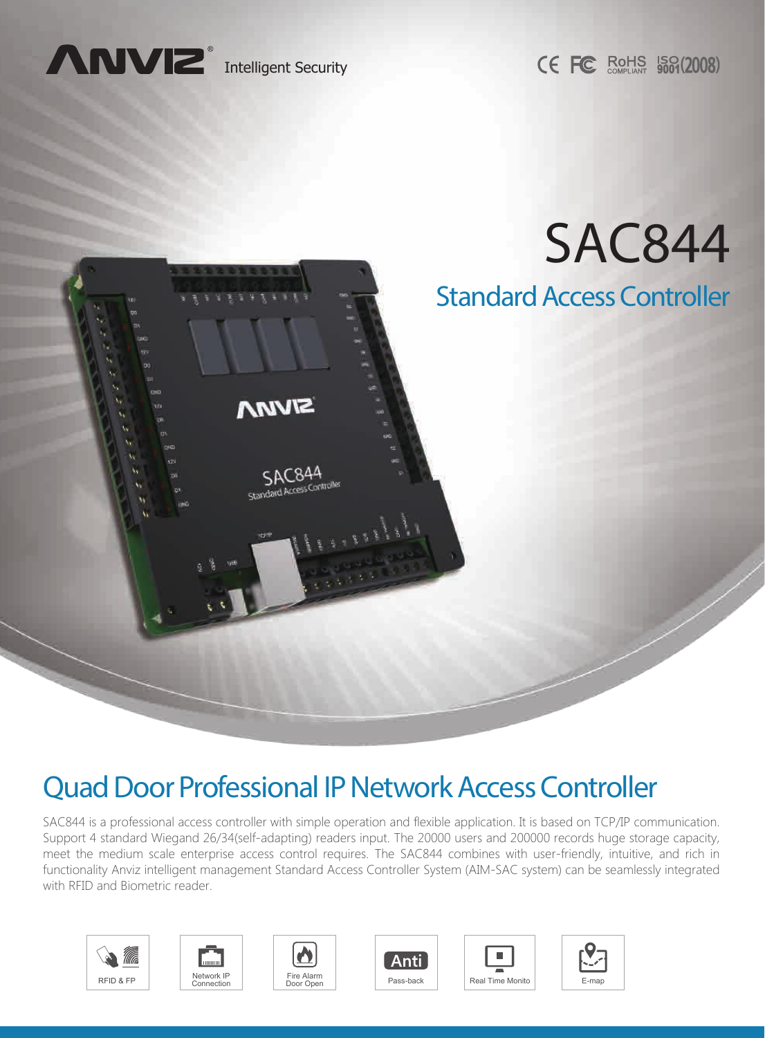

**CE FC ROHS 5001(2008)** 



# Quad Door Professional IP Network Access Controller

SAC844 is a professional access controller with simple operation and flexible application. It is based on TCP/IP communication. Support 4 standard Wiegand 26/34(self-adapting) readers input. The 20000 users and 200000 records huge storage capacity, meet the medium scale enterprise access control requires. The SAC844 combines with user-friendly, intuitive, and rich in functionality Anviz intelligent management Standard Access Controller System (AIM-SAC system) can be seamlessly integrated with RFID and Biometric reader.